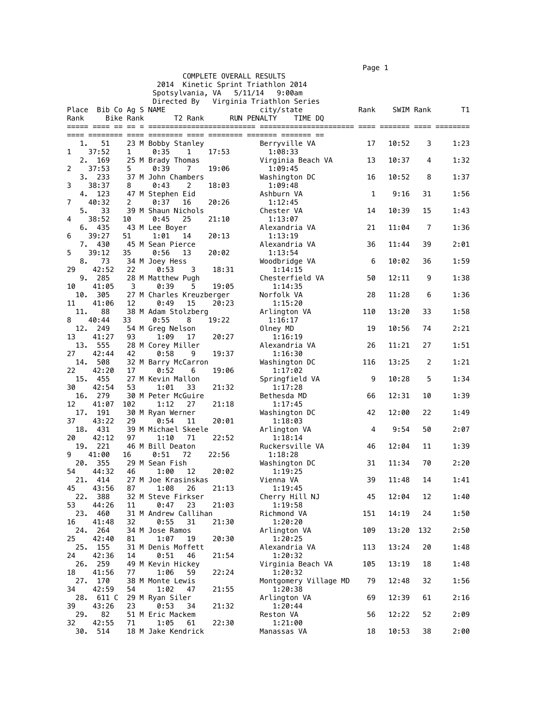$\blacksquare$  Page 1  $\blacksquare$ 

|                                                                |                        |                  |                                    |       |                                       | .    |           |     |      |
|----------------------------------------------------------------|------------------------|------------------|------------------------------------|-------|---------------------------------------|------|-----------|-----|------|
| COMPLETE OVERALL RESULTS<br>2014 Kinetic Sprint Triathlon 2014 |                        |                  |                                    |       |                                       |      |           |     |      |
|                                                                |                        |                  | Spotsylvania, VA                   |       | 5/11/14<br>9:00am                     |      |           |     |      |
|                                                                |                        |                  |                                    |       | Directed By Virginia Triathlon Series |      |           |     |      |
|                                                                | Place Bib Co Ag S NAME |                  |                                    |       | city/state                            | Rank | SWIM Rank |     | T1   |
| Rank                                                           |                        | <b>Bike Rank</b> | T2 Rank                            |       | <b>RUN PENALTY</b><br>TIME DQ         |      |           |     |      |
|                                                                |                        |                  |                                    |       |                                       |      |           |     |      |
|                                                                |                        |                  |                                    |       |                                       |      |           |     |      |
| 1.<br>1                                                        | 51<br>37:52            |                  | 23 M Bobby Stanley                 |       | Berryville VA                         | 17   | 10:52     | 3   | 1:23 |
| 2.                                                             | 169                    | 1                | 0:35<br>1<br>25 M Brady Thomas     | 17:53 | 1:08:33<br>Virginia Beach VA          | 13   | 10:37     | 4   | 1:32 |
| 2                                                              | 37:53                  | 5                | 0:39<br>7                          | 19:06 | 1:09:45                               |      |           |     |      |
|                                                                | 3.233                  |                  | 37 M John Chambers                 |       | Washington DC                         | 16   | 10:52     | 8   | 1:37 |
| 3                                                              | 38:37                  | 8                | 0:43<br>2                          | 18:03 | 1:09:48                               |      |           |     |      |
| 4.                                                             | 123                    |                  | 47 M Stephen Eid                   |       | Ashburn VA                            | 1    | 9:16      | 31  | 1:56 |
| 7                                                              | 40:32                  | 2                | 0:37<br>16                         | 20:26 | 1:12:45                               |      |           |     |      |
| 5.                                                             | 33                     |                  | 39 M Shaun Nichols                 |       | Chester VA                            | 14   | 10:39     | 15  | 1:43 |
| 4                                                              | 38:52                  | 10               | 0:45<br>25                         | 21:10 | 1:13:07                               |      |           |     |      |
| 6.<br>6                                                        | 435<br>39:27           | 51               | 43 M Lee Boyer<br>1:01<br>14       | 20:13 | Alexandria VA<br>1:13:19              | 21   | 11:04     | 7   | 1:36 |
| 7.                                                             | 430                    |                  | 45 M Sean Pierce                   |       | Alexandria VA                         | 36   | 11:44     | 39  | 2:01 |
| 5                                                              | 39:12                  | 35               | 0:56<br>13                         | 20:02 | 1:13:54                               |      |           |     |      |
| 8.                                                             | 73                     |                  | 34 M Joey Hess                     |       | Woodbridge VA                         | 6    | 10:02     | 36  | 1:59 |
| 29                                                             | 42:52                  | 22               | 0:53<br>3                          | 18:31 | 1:14:15                               |      |           |     |      |
| 9.                                                             | 285                    |                  | 28 M Matthew Pugh                  |       | Chesterfield VA                       | 50   | 12:11     | 9   | 1:38 |
| 10                                                             | 41:05                  | 3                | 0:39<br>5                          | 19:05 | 1:14:35                               |      |           |     |      |
| 10.                                                            | 305                    |                  | 27 M Charles Kreuzberger           |       | Norfolk VA                            | 28   | 11:28     | 6   | 1:36 |
| 11<br>11.                                                      | 41:06<br>88            | 12               | 0:49<br>15<br>38 M Adam Stolzberg  | 20:23 | 1:15:20<br>Arlington VA               | 110  | 13:20     | 33  | 1:58 |
| 8                                                              | 40:44                  | 33               | 0:55<br>8                          | 19:22 | 1:16:17                               |      |           |     |      |
| 12.                                                            | 249                    |                  | 54 M Greg Nelson                   |       | Olney MD                              | 19   | 10:56     | 74  | 2:21 |
| 13                                                             | 41:27                  | 93               | 1:09<br>17                         | 20:27 | 1:16:19                               |      |           |     |      |
| 13.                                                            | 555                    |                  | 28 M Corey Miller                  |       | Alexandria VA                         | 26   | 11:21     | 27  | 1:51 |
| 27                                                             | 42:44                  | 42               | 0:58<br>9                          | 19:37 | 1:16:30                               |      |           |     |      |
| 14.                                                            | 508                    |                  | 32 M Barry McCarron                |       | Washington DC                         | 116  | 13:25     | 2   | 1:21 |
| 22                                                             | 42:20                  | 17               | 0:52<br>6                          | 19:06 | 1:17:02                               |      |           |     |      |
| 15.<br>30                                                      | 455<br>42:54           | 53               | 27 M Kevin Mallon<br>33<br>1:01    | 21:32 | Springfield VA<br>1:17:28             | 9    | 10:28     | 5   | 1:34 |
| 16.                                                            | 279                    |                  | 30 M Peter McGuire                 |       | Bethesda MD                           | 66   | 12:31     | 10  | 1:39 |
| 12                                                             | 41:07                  | 102              | 1:12<br>27                         | 21:18 | 1:17:45                               |      |           |     |      |
| 17.                                                            | 191                    |                  | 30 M Ryan Werner                   |       | Washington DC                         | 42   | 12:00     | 22  | 1:49 |
| 37                                                             | 43:22                  | 29               | 0:54<br>11                         | 20:01 | 1:18:03                               |      |           |     |      |
| 18.                                                            | 431                    |                  | 39 M Michael Skeele                |       | Arlington VA                          | 4    | 9:54      | 50  | 2:07 |
| 20<br>19.                                                      | 42:12<br>221           | 97               | 1:10<br>71<br>46 M Bill Deaton     | 22:52 | 1:18:14<br>Ruckersville VA            | 46   | 12:04     | 11  | 1:39 |
| 9                                                              | 41:00                  | 16               | 0:51<br>72                         | 22:56 | 1:18:28                               |      |           |     |      |
| 20.                                                            | 355                    |                  | 29 M Sean Fish                     |       | Washington DC                         | 31   | 11:34     | 70  | 2:20 |
| 54                                                             | 44:32                  | 46               | 1:00<br>12                         | 20:02 | 1:19:25                               |      |           |     |      |
| 21.                                                            | 414                    |                  | 27 M Joe Krasinskas                |       | Vienna VA                             | 39   | 11:48     | 14  | 1:41 |
| 45                                                             | 43:56                  | 87               | 1:08<br>26                         | 21:13 | 1:19:45                               |      |           |     |      |
| 22.                                                            | 388                    |                  | 32 M Steve Firkser                 |       | Cherry Hill NJ                        | 45   | 12:04     | 12  | 1:40 |
| 53<br>23.                                                      | 44:26<br>460           | 11               | 0:47<br>23<br>31 M Andrew Callihan | 21:03 | 1:19:58<br>Richmond VA                | 151  | 14:19     | 24  | 1:50 |
| 16                                                             | 41:48                  | 32               | 0:55<br>31                         | 21:30 | 1:20:20                               |      |           |     |      |
| 24.                                                            | 264                    |                  | 34 M Jose Ramos                    |       | Arlington VA                          | 109  | 13:20     | 132 | 2:50 |
| 25                                                             | 42:40                  | 81               | 1:07<br>19                         | 20:30 | 1:20:25                               |      |           |     |      |
| 25.                                                            | 155                    |                  | 31 M Denis Moffett                 |       | Alexandria VA                         | 113  | 13:24     | 20  | 1:48 |
| 24                                                             | 42:36                  | 14               | 0:51<br>46                         | 21:54 | 1:20:32                               |      |           |     |      |
| 26.<br>18                                                      | 259<br>41:56           | 77               | 49 M Kevin Hickey<br>1:06<br>59    | 22:24 | Virginia Beach VA<br>1:20:32          | 105  | 13:19     | 18  | 1:48 |
| 27.                                                            | 170                    |                  | 38 M Monte Lewis                   |       | Montgomery Village MD                 | 79   | 12:48     | 32  | 1:56 |
| 34                                                             | 42:59                  | 54               | 1:02<br>47                         | 21:55 | 1:20:38                               |      |           |     |      |
| 28.                                                            | 611 C                  |                  | 29 M Ryan Siler                    |       | Arlington VA                          | 69   | 12:39     | 61  | 2:16 |
| 39                                                             | 43:26                  | 23               | 0:53<br>34                         | 21:32 | 1:20:44                               |      |           |     |      |
| 29.                                                            | 82                     |                  | 51 M Eric Mackem                   |       | Reston VA                             | 56   | 12:22     | 52  | 2:09 |
| 32<br>30.                                                      | 42:55<br>514           | 71               | 1:05<br>61<br>18 M Jake Kendrick   | 22:30 | 1:21:00<br>Manassas VA                | 18   | 10:53     | 38  | 2:00 |
|                                                                |                        |                  |                                    |       |                                       |      |           |     |      |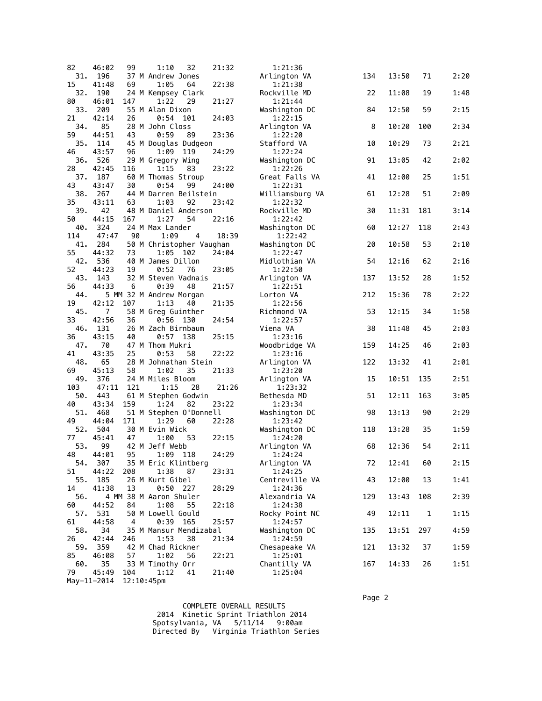| 82         | 46:02          | 99            | 32<br>1:10                            | 21:32 | 1:21:36                    |     |       |              |      |
|------------|----------------|---------------|---------------------------------------|-------|----------------------------|-----|-------|--------------|------|
| 31.        | 196            |               | 37 M Andrew Jones                     |       | Arlington VA               | 134 | 13:50 | 71           | 2:20 |
| 15<br>32.  | 41:48<br>190   | 69            | 1:05<br>64<br>24 M Kempsey Clark      | 22:38 | 1:21:38<br>Rockville MD    | 22  | 11:08 | 19           | 1:48 |
| 80         | 46:01          | 147           | 1:22<br>29                            | 21:27 | 1:21:44                    |     |       |              |      |
| 33.        | 209<br>42:14   |               | 55 M Alan Dixon                       |       | Washington DC              | 84  | 12:50 | 59           | 2:15 |
| 21<br>34.  | 85             | 26            | 0:54<br>101<br>28 M John Closs        | 24:03 | 1:22:15<br>Arlington VA    | 8   | 10:20 | 100          | 2:34 |
| 59         | 44:51          | 43            | 0:59<br>89                            | 23:36 | 1:22:20                    |     |       |              |      |
| 35.        | 114            |               | 45 M Douglas Dudgeon                  |       | Stafford VA                | 10  | 10:29 | 73           | 2:21 |
| 46<br>36.  | 43:57<br>526   | 96            | 1:09<br>119<br>29 M Gregory Wing      | 24:29 | 1:22:24<br>Washington DC   | 91  | 13:05 | 42           | 2:02 |
| 28         | 42:45          | 116           | 1:15<br>83                            | 23:22 | 1:22:26                    |     |       |              |      |
| 37.        | 187            |               | 60 M Thomas Stroup                    |       | Great Falls VA             | 41  | 12:00 | 25           | 1:51 |
| 43<br>38.  | 43:47<br>267   | 30            | 0:54<br>99<br>44 M Darren Beilstein   | 24:00 | 1:22:31<br>Williamsburg VA | 61  | 12:28 | 51           | 2:09 |
| 35         | 43:11          | 63            | 1:03<br>92                            | 23:42 | 1:22:32                    |     |       |              |      |
| 39.        | 42             |               | 48 M Daniel Anderson                  |       | Rockville MD               | 30  | 11:31 | 181          | 3:14 |
| 50         | 44:15          | 167           | 1:27<br>54                            | 22:16 | 1:22:42                    |     |       |              |      |
| 40.<br>114 | 324<br>47:47   | 90            | 24 M Max Lander<br>1:09<br>4          | 18:39 | Washington DC<br>1:22:42   | 60  | 12:27 | 118          | 2:43 |
| 41.        | 284            |               | 50 M Christopher Vaughan              |       | Washington DC              | 20  | 10:58 | 53           | 2:10 |
| 55         | 44:32          | 73            | 1:05 102                              | 24:04 | 1:22:47                    |     |       |              |      |
| 42.<br>52  | 536<br>44:23   | 19            | 40 M James Dillon<br>0:52<br>76       | 23:05 | Midlothian VA<br>1:22:50   | 54  | 12:16 | 62           | 2:16 |
| 43.        | 143            |               | 32 M Steven Vadnais                   |       | Arlington VA               | 137 | 13:52 | 28           | 1:52 |
| 56         | 44:33          | 6             | 0:39<br>48                            | 21:57 | 1:22:51                    |     |       |              |      |
| 44.<br>19  | 42:12          | 107           | 5 MM 32 M Andrew Morgan<br>1:13<br>40 | 21:35 | Lorton VA<br>1:22:56       | 212 | 15:36 | 78           | 2:22 |
| 45.        | $\overline{7}$ |               | 58 M Greg Guinther                    |       | Richmond VA                | 53  | 12:15 | 34           | 1:58 |
| 33         | 42:56          | 36            | 0:56<br>130                           | 24:54 | 1:22:57                    |     |       |              |      |
| 46.        | 131            |               | 26 M Zach Birnbaum                    |       | Viena VA                   | 38  | 11:48 | 45           | 2:03 |
| 36<br>47.  | 43:15<br>70    | 40            | 0:57<br>- 138<br>47 M Thom Mukri      | 25:15 | 1:23:16<br>Woodbridge VA   | 159 | 14:25 | 46           | 2:03 |
| 41         | 43:35          | 25            | 0:53<br>58                            | 22:22 | 1:23:16                    |     |       |              |      |
| 48.        | 65             |               | 28 M Johnathan Stein                  |       | Arlington VA               | 122 | 13:32 | 41           | 2:01 |
| 69<br>49.  | 45:13<br>376   | 58            | 1:02<br>35<br>24 M Miles Bloom        | 21:33 | 1:23:20<br>Arlington VA    | 15  | 10:51 | 135          | 2:51 |
| 103        | 47:11          | 121           | 1:15<br>28                            | 21:26 | 1:23:32                    |     |       |              |      |
| 50.        | 443            |               | 61 M Stephen Godwin                   |       | Bethesda MD                | 51  | 12:11 | 163          | 3:05 |
| 40<br>51.  | 43:34<br>468   | 159           | 1:24<br>82<br>51 M Stephen 0'Donnell  | 23:22 | 1:23:34<br>Washington DC   | 98  | 13:13 | 90           | 2:29 |
| 49         | 44:04          | 171           | 1:29<br>60                            | 22:28 | 1:23:42                    |     |       |              |      |
| 52.        | 504            |               | 30 M Evin Wick                        |       | Washington DC              | 118 | 13:28 | 35           | 1:59 |
| 77<br>53.  | 45:41<br>99    | 47            | 53<br>1:00<br>42 M Jeff Webb          | 22:15 | 1:24:20                    | 68  | 12:36 | 54           | 2:11 |
| 48         | 44:01          | 95            | 1:09<br>118                           | 24:29 | Arlington VA<br>1:24:24    |     |       |              |      |
|            | 54. 307        |               | 35 M Eric Klintberg                   |       | Arlington VA               | 72  | 12:41 | 60           | 2:15 |
| 51         | 44:22          | 208           | 1:38<br>87<br>26 M Kurt Gibel         | 23:31 | 1:24:25                    |     |       |              |      |
| 55.<br>14  | 185<br>41:38   | 13            | $0:50$ 227                            | 28:29 | Centreville VA<br>1:24:36  | 43  | 12:00 | 13           | 1:41 |
| 56.        |                |               | 4 MM 38 M Aaron Shuler                |       | Alexandria VA              | 129 | 13:43 | 108          | 2:39 |
| 60         | 44:52          | 84            | 1:08<br>55                            | 22:18 | 1:24:38                    |     |       |              |      |
| 57.<br>61  | 531<br>44:58   | 4             | 50 M Lowell Gould<br>0:39<br>165      | 25:57 | Rocky Point NC<br>1:24:57  | 49  | 12:11 | $\mathbf{1}$ | 1:15 |
| 58.        | 34             |               | 35 M Mansur Mendizabal                |       | Washington DC              | 135 | 13:51 | 297          | 4:59 |
| 26         | 42:44          | 246           | 1:53<br>38                            | 21:34 | 1:24:59                    |     |       |              |      |
| 59.<br>85  | 359<br>46:08   | 57            | 42 M Chad Rickner<br>1:02<br>56       | 22:21 | Chesapeake VA<br>1:25:01   | 121 | 13:32 | 37           | 1:59 |
| 60.        | 35             |               | 33 M Timothy Orr                      |       | Chantilly VA               | 167 | 14:33 | 26           | 1:51 |
| 79         | 45:49          | 104           | 1:12<br>41                            | 21:40 | 1:25:04                    |     |       |              |      |
|            | May-11-2014    | $12:10:45$ pm |                                       |       |                            |     |       |              |      |

 Page 2 COMPLETE OVERALL RESULTS 2014 Kinetic Sprint Triathlon 2014 Spotsylvania, VA 5/11/14 9:00am Directed By Virginia Triathlon Series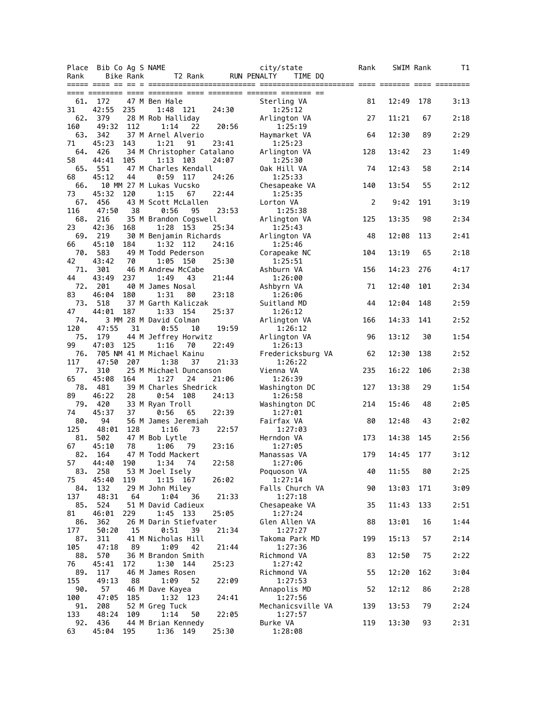| Place      | Bib Co Ag S NAME |           |                                      |       | city/state                   | Rank | SWIM Rank |     | T1   |
|------------|------------------|-----------|--------------------------------------|-------|------------------------------|------|-----------|-----|------|
| Rank       |                  | Bike Rank | T2 Rank                              |       | RUN PENALTY<br>TIME DQ       |      |           |     |      |
|            |                  |           |                                      |       |                              |      |           |     |      |
| 61.        | 172              |           | 47 M Ben Hale                        |       | Sterling VA                  | 81   | 12:49     | 178 | 3:13 |
| 31         | 42:55            | 235       | 1:48 121                             | 24:30 | 1:25:12                      |      |           |     |      |
| 62.        | 379              |           | 28 M Rob Halliday                    |       | Arlington VA                 | 27   | 11:21     | 67  | 2:18 |
| 160        | 49:32            | 112       | 1:14<br>22                           | 20:56 | 1:25:19                      |      |           |     |      |
| 63.<br>71  | 342<br>45:23     | 143       | 37 M Arnel Alverio<br>1:21<br>91     | 23:41 | Haymarket VA<br>1:25:23      | 64   | 12:30     | 89  | 2:29 |
| 64.        | 426              |           | 34 M Christopher Catalano            |       | Arlington VA                 | 128  | 13:42     | 23  | 1:49 |
| 58         | 44:41            | 105       | 1:13 103                             | 24:07 | 1:25:30                      |      |           |     |      |
| 65.        | 551              |           | 47 M Charles Kendall                 |       | Oak Hill VA                  | 74   | 12:43     | 58  | 2:14 |
| 68         | 45:12            | 44        | 0:59<br>117                          | 24:26 | 1:25:33                      |      |           |     |      |
| 66.        |                  |           | 10 MM 27 M Lukas Vucsko              |       | Chesapeake VA                | 140  | 13:54     | 55  | 2:12 |
| 73<br>67.  | 45:32<br>456     | 120       | 1:15<br>67<br>43 M Scott McLallen    | 22:44 | 1:25:35<br>Lorton VA         | 2    | 9:42      | 191 | 3:19 |
| 116        | 47:50            | 38        | 0:56<br>95                           | 23:53 | 1:25:38                      |      |           |     |      |
| 68.        | 216              |           | 35 M Brandon Cogswell                |       | Arlington VA                 | 125  | 13:35     | 98  | 2:34 |
| 23         | 42:36            | 168       | 1:28<br>153                          | 25:34 | 1:25:43                      |      |           |     |      |
| 69.        | 219              |           | 30 M Benjamin Richards               |       | Arlington VA                 | 48   | 12:08     | 113 | 2:41 |
| 66         | 45:10            | 184       | 1:32 112                             | 24:16 | 1:25:46                      |      |           |     |      |
| 70.<br>42  | 583<br>43:42     | 70        | 49 M Todd Pederson<br>1:05<br>150    | 25:30 | Corapeake NC<br>1:25:51      | 104  | 13:19     | 65  | 2:18 |
| 71.        | 301              |           | 46 M Andrew McCabe                   |       | Ashburn VA                   | 156  | 14:23     | 276 | 4:17 |
| 44         | 43:49            | 237       | 1:49<br>43                           | 21:44 | 1:26:00                      |      |           |     |      |
| 72.        | 201              |           | 40 M James Nosal                     |       | Ashbyrn VA                   | 71   | 12:40     | 101 | 2:34 |
| 83         | 46:04            | 180       | 1:31<br>80                           | 23:18 | 1:26:06                      |      |           |     |      |
| 73.        | 518              |           | 37 M Garth Kaliczak                  |       | Suitland MD                  | 44   | 12:04     | 148 | 2:59 |
| 47<br>74.  | 44:01            | 187       | 1:33 154<br>3 MM 28 M David Colman   | 25:37 | 1:26:12                      | 166  | 14:33     | 141 | 2:52 |
| 120        | 47:55            | 31        | 0:55<br>10                           | 19:59 | Arlington VA<br>1:26:12      |      |           |     |      |
| 75.        | 179              |           | 44 M Jeffrey Horwitz                 |       | Arlington VA                 | 96   | 13:12     | 30  | 1:54 |
| 99         | 47:03            | 125       | 1:16<br>70                           | 22:49 | 1:26:13                      |      |           |     |      |
| 76.        |                  |           | 705 NM 41 M Michael Kainu            |       | Fredericksburg VA            | 62   | 12:30     | 138 | 2:52 |
| 117        | 47:50            | 207       | 1:38<br>37                           | 21:33 | 1:26:22                      |      |           |     |      |
| 77.<br>65  | 310<br>45:08     | 164       | 25 M Michael Duncanson<br>1:27<br>24 | 21:06 | Vienna VA<br>1:26:39         | 235  | 16:22     | 106 | 2:38 |
| 78.        | 481              |           | 39 M Charles Shedrick                |       | Washington DC                | 127  | 13:38     | 29  | 1:54 |
| 89         | 46:22            | 28        | 0:54<br>108                          | 24:13 | 1:26:58                      |      |           |     |      |
| 79.        | 420              |           | 33 M Ryan Troll                      |       | Washington DC                | 214  | 15:46     | 48  | 2:05 |
| 74         | 45:37            | 37        | 0:56<br>65                           | 22:39 | 1:27:01                      |      |           |     |      |
| 80.        | 94               |           | 56 M James Jeremiah                  |       | Fairfax VA                   | 80   | 12:48     | 43  | 2:02 |
| 125<br>81. | 48:01<br>502     | 128       | 1:16<br>73<br>47 M Bob Lytle         | 22:57 | 1:27:03<br>Herndon VA        | 173  | 14:38     | 145 | 2:56 |
| 67         | 45:10            | 78        | 1:06<br>79                           | 23:16 | 1:27:05                      |      |           |     |      |
| 82.        | 164              |           | 47 M Todd Mackert                    |       | Manassas VA                  | 179  | 14:45     | 177 | 3:12 |
| 57         | 44:40            | 190       | 1:34 74                              | 22:58 | 1:27:06                      |      |           |     |      |
| 83.        | 258              |           | 53 M Joel Isely                      |       | Poquoson VA                  | 40   | 11:55     | 80  | 2:25 |
| 75         | 45:40            | 119       | $1:15$ 167                           | 26:02 | 1:27:14                      |      |           |     |      |
| 84.<br>137 | 132<br>48:31     | 64        | 29 M John Miley<br>1:04<br>36        | 21:33 | Falls Church VA<br>1:27:18   | 90   | 13:03     | 171 | 3:09 |
| 85.        | 524              |           | 51 M David Cadieux                   |       | Chesapeake VA                | 35   | 11:43     | 133 | 2:51 |
| 81         | 46:01            | 229       | 1:45 133                             | 25:05 | 1:27:24                      |      |           |     |      |
| 86.        | 362              |           | 26 M Darin Stiefvater                |       | Glen Allen VA                | 88   | 13:01     | 16  | 1:44 |
| 177        | 50:20            | 15        | 0:51<br>39                           | 21:34 | 1:27:27                      |      |           |     |      |
| 87.<br>105 | 311<br>47:18     | 89        | 41 M Nicholas Hill<br>1:09<br>42     | 21:44 | Takoma Park MD<br>1:27:36    | 199  | 15:13     | 57  | 2:14 |
| 88.        | 570              |           | 36 M Brandon Smith                   |       | Richmond VA                  | 83   | 12:50     | 75  | 2:22 |
| 76         | 45:41            | 172       | 1:30<br>144                          | 25:23 | 1:27:42                      |      |           |     |      |
| 89.        | 117              |           | 46 M James Rosen                     |       | Richmond VA                  | 55   | 12:20     | 162 | 3:04 |
| 155        | 49:13            | 88        | 1:09<br>52                           | 22:09 | 1:27:53                      |      |           |     |      |
| 90.        | 57               |           | 46 M Dave Kayea                      |       | Annapolis MD                 | 52   | 12:12     | 86  | 2:28 |
| 100<br>91. | 47:05<br>208     | 185       | 1:32 123<br>52 M Greg Tuck           | 24:41 | 1:27:56<br>Mechanicsville VA | 139  | 13:53     | 79  | 2:24 |
| 133        | 48:24            | 109       | 1:14<br>50                           | 22:05 | 1:27:57                      |      |           |     |      |
| 92.        | 436              |           | 44 M Brian Kennedy                   |       | Burke VA                     | 119  | 13:30     | 93  | 2:31 |
| 63         | 45:04            | 195       | 1:36 149                             | 25:30 | 1:28:08                      |      |           |     |      |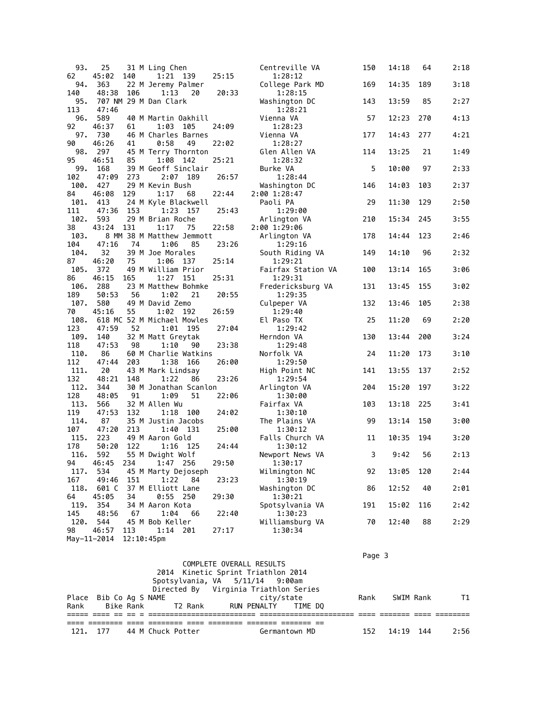| 93.         | 25                   |                      | 31 M Ling Chen             |            |       | Centreville VA             | 150 | 14:18 | 64  | 2:18 |
|-------------|----------------------|----------------------|----------------------------|------------|-------|----------------------------|-----|-------|-----|------|
| 62          | 45:02                | 140                  | 1:21 139                   |            | 25:15 | 1:28:12                    |     |       |     |      |
| 94.         | 363                  |                      | 22 M Jeremy Palmer         |            |       | College Park MD            | 169 | 14:35 | 189 | 3:18 |
| 140         | 48:38                | 106                  | 1:13                       | 20         | 20:33 | 1:28:15                    |     |       |     |      |
| 95.         |                      |                      | 707 NM 29 M Dan Clark      |            |       | Washington DC              | 143 | 13:59 | 85  | 2:27 |
| 113         | 47:46                |                      |                            |            |       | 1:28:21                    |     |       |     |      |
| 96.         | 589                  |                      | 40 M Martin Oakhill        |            |       | Vienna VA                  | 57  | 12:23 | 270 | 4:13 |
| 92          | 46:37                | 61                   | 1:03                       | 105        | 24:09 | 1:28:23                    |     |       |     |      |
| 97.         | 730                  |                      | 46 M Charles Barnes        |            |       | Vienna VA                  | 177 | 14:43 | 277 | 4:21 |
| 90          | 46:26                | 41                   | 0:58                       | 49         | 22:02 | 1:28:27                    |     |       |     |      |
| 98.         | 297                  |                      | 45 M Terry Thornton        |            |       | Glen Allen VA              | 114 | 13:25 | 21  | 1:49 |
| 95          | 46:51                | 85                   | 1:08                       | 142        | 25:21 | 1:28:32                    |     |       |     |      |
| 99.         | 168                  |                      | 39 M Geoff Sinclair        |            |       | Burke VA                   | 5   | 10:00 | 97  | 2:33 |
| 102         | 47:09                | 273                  | 2:07                       | 189        | 26:57 | 1:28:44                    |     |       |     |      |
| 100.        | 427                  |                      | 29 M Kevin Bush            |            |       | Washington DC              | 146 | 14:03 | 103 | 2:37 |
| 84          | 46:08                | 129                  | 1:17                       | 68         | 22:44 | 2:00 1:28:47               |     |       |     |      |
| 101.        | 413                  |                      | 24 M Kyle Blackwell        |            |       | Paoli PA                   | 29  | 11:30 | 129 | 2:50 |
| 111         | 47:36                | 153                  | 1:23                       | 157        | 25:43 | 1:29:00                    |     |       |     |      |
| 102.        | 593                  |                      | 29 M Brian Roche           |            |       | Arlington VA               | 210 | 15:34 | 245 | 3:55 |
| 38          | 43:24                | 131                  | 1:17                       | 75         | 22:58 | 2:00 1:29:06               |     |       |     |      |
| 103.        |                      |                      | 8 MM 38 M Matthew Jemmott  |            |       | Arlington VA               | 178 | 14:44 | 123 | 2:46 |
| 104         | 47:16                | 74                   | 1:06                       | 85         | 23:26 | 1:29:16                    |     |       |     |      |
| 104.        | 32                   |                      | 39 M Joe Morales           |            |       | South Riding VA            | 149 | 14:10 | 96  | 2:32 |
| 87          | 46:20                | 75                   | 1:06                       | 137        | 25:14 | 1:29:21                    |     |       |     |      |
| 105.        | 372                  |                      | 49 M William Prior         |            |       | Fairfax Station VA         | 100 | 13:14 | 165 | 3:06 |
| 86          | 46:15                | 165                  | 1:27                       | 151        | 25:31 | 1:29:31                    |     |       |     |      |
| 106.        | 288                  |                      | 23 M Matthew Bohmke        |            |       | Fredericksburg VA          | 131 | 13:45 | 155 | 3:02 |
| 189         | 50:53                | 56                   | 1:02                       | 21         | 20:55 | 1:29:35                    |     |       |     |      |
| 107.        | 580                  |                      | 49 M David Zemo            |            |       | Culpeper VA                | 132 | 13:46 | 105 | 2:38 |
| 70          | 45:16                | 55                   | 1:02                       | 192        | 26:59 | 1:29:40                    |     |       |     |      |
| 108.        |                      |                      | 618 MC 52 M Michael Mowles |            |       | El Paso TX                 | 25  | 11:20 | 69  | 2:20 |
| 123         | 47:59                | 52                   | 1:01                       | 195        | 27:04 | 1:29:42                    |     |       |     |      |
| 109.        | 140                  |                      | 32 M Matt Greytak          |            |       | Herndon VA                 | 130 | 13:44 | 200 | 3:24 |
| 118         | 47:53                | 98                   | 1:10                       | 90         | 23:38 | 1:29:48                    |     |       |     |      |
| 110.        | 86                   |                      | 60 M Charlie Watkins       |            |       | Norfolk VA                 | 24  | 11:20 | 173 | 3:10 |
| 112         | 47:44                | 203                  | 1:38                       | 166        | 26:00 | 1:29:50                    |     |       |     |      |
| 111.        | 20                   |                      | 43 M Mark Lindsay          |            |       | High Point NC              | 141 | 13:55 | 137 | 2:52 |
| 132         | 48:21                | 148                  | 1:22                       | 86         | 23:26 | 1:29:54                    |     |       |     |      |
| 112.        | 344                  |                      | 30 M Jonathan Scanlon      |            |       | Arlington VA               | 204 | 15:20 | 197 | 3:22 |
| 128         | 48:05                | 91                   | 1:09                       | 51         | 22:06 | 1:30:00                    |     |       |     |      |
| 113.        | 566                  |                      | 32 M Allen Wu              |            |       | Fairfax VA                 | 103 | 13:18 | 225 | 3:41 |
| 119         | 47:53                | 132                  |                            | $1:18$ 100 | 24:02 | 1:30:10                    |     |       |     |      |
| 114.        | 87                   |                      | 35 M Justin Jacobs         |            |       | The Plains VA              | 99  | 13:14 | 150 | 3:00 |
| 107         | 47:20                | 213                  | 1:40                       | 131        | 25:00 | 1:30:12                    |     |       |     |      |
| 115.        | 223                  |                      | 49 M Aaron Gold            |            |       | Falls Church VA            | 11  | 10:35 | 194 | 3:20 |
| 178         | 50:20                | 122                  | 1:16                       | - 125      | 24:44 | 1:30:12                    |     |       |     |      |
| 116.        | 592                  |                      | 55 M Dwight Wolf           |            |       | Newport News VA            | 3   | 9:42  | 56  | 2:13 |
| 94          | 46:45                | 234                  | 1:47 256                   |            | 29:50 | 1:30:17                    |     |       |     |      |
| 117.        | 534                  |                      | 45 M Marty Dejoseph        |            |       | Wilmington NC              | 92  | 13:05 | 120 | 2:44 |
| 167         | 49:46                | 151                  | 1:22                       | 84         | 23:23 | 1:30:19                    |     |       |     |      |
| 118.        | 601 C                |                      | 37 M Elliott Lane          |            | 29:30 | Washington DC              | 86  | 12:52 | 40  | 2:01 |
| 64          | 45:05                | 34                   | $0:55$ 250                 |            |       | 1:30:21                    |     |       |     |      |
| 119.        | 354                  |                      | 34 M Aaron Kota            | 66         |       | Spotsylvania VA            | 191 | 15:02 | 116 | 2:42 |
| 145<br>120. | 48:56<br>544         | 67                   | 1:04<br>45 M Bob Keller    |            | 22:40 | 1:30:23<br>Williamsburg VA | 70  | 12:40 | 88  | 2:29 |
|             |                      |                      |                            |            |       |                            |     |       |     |      |
|             |                      |                      |                            |            |       |                            |     |       |     |      |
| 98          | 46:57<br>May-11-2014 | 113<br>$12:10:45$ pm | 1:14                       | 201        | 27:17 | 1:30:34                    |     |       |     |      |

|                            |  |  |                                                                                                   |            |               | Page 3 |           |           |           |
|----------------------------|--|--|---------------------------------------------------------------------------------------------------|------------|---------------|--------|-----------|-----------|-----------|
|                            |  |  | COMPLETE OVERALL RESULTS<br>2014 Kinetic Sprint Triathlon 2014<br>Spotsylvania, VA 5/11/14 9:00am |            |               |        |           |           |           |
|                            |  |  | Directed By Virginia Triathlon Series                                                             |            |               |        |           |           |           |
| Place Bib Co Ag S NAME     |  |  |                                                                                                   | city/state |               | Rank   |           | SWIM Rank | <b>T1</b> |
|                            |  |  | Rank Bike Rank T2 Rank RUN PENALTY TIME DO                                                        |            |               |        |           |           |           |
|                            |  |  |                                                                                                   |            |               |        |           |           |           |
| 121. 177 44 M Chuck Potter |  |  |                                                                                                   |            | Germantown MD | 152    | 14:19 144 |           | 2:56      |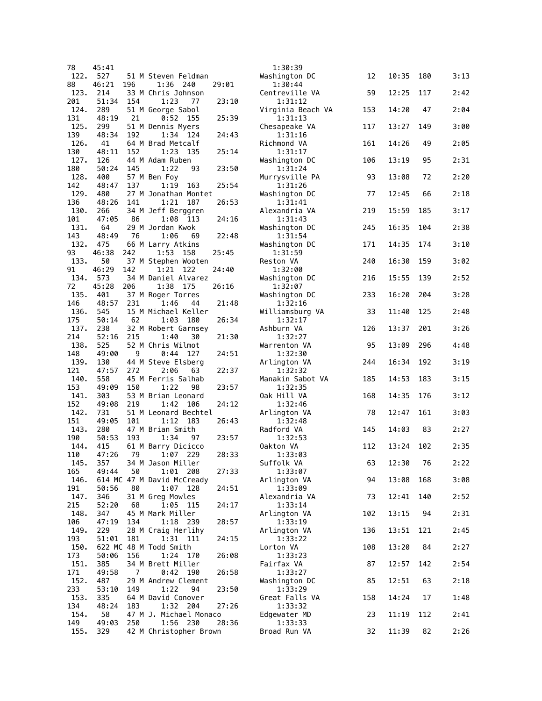| 78          | 45:41        |     |                                     |       | 1:30:39                   |     |       |     |      |
|-------------|--------------|-----|-------------------------------------|-------|---------------------------|-----|-------|-----|------|
| 122.        | 527          |     | 51 M Steven Feldman                 |       | Washington DC             | 12  | 10:35 | 180 | 3:13 |
| 88<br>123.  | 46:21<br>214 | 196 | 1:36 240<br>33 M Chris Johnson      | 29:01 | 1:30:44<br>Centreville VA | 59  | 12:25 | 117 | 2:42 |
| 201         | 51:34        | 154 | 1:23<br>77                          | 23:10 | 1:31:12                   |     |       |     |      |
| 124.        | 289          |     | 51 M George Sabol                   |       | Virginia Beach VA         | 153 | 14:20 | 47  | 2:04 |
| 131<br>125. | 48:19<br>299 | 21  | 0:52<br>155<br>51 M Dennis Myers    | 25:39 | 1:31:13<br>Chesapeake VA  | 117 | 13:27 | 149 | 3:00 |
| 139         | 48:34        | 192 | 1:34<br>124                         | 24:43 | 1:31:16                   |     |       |     |      |
| 126.        | 41           |     | 64 M Brad Metcalf                   |       | Richmond VA               | 161 | 14:26 | 49  | 2:05 |
| 130<br>127. | 48:11        | 152 | 1:23<br>135                         | 25:14 | 1:31:17                   |     |       |     |      |
| 180         | 126<br>50:24 | 145 | 44 M Adam Ruben<br>1:22<br>93       | 23:50 | Washington DC<br>1:31:24  | 106 | 13:19 | 95  | 2:31 |
| 128.        | 400          |     | 57 M Ben Foy                        |       | Murrysville PA            | 93  | 13:08 | 72  | 2:20 |
| 142         | 48:47        | 137 | 1:19<br>163                         | 25:54 | 1:31:26                   |     |       |     |      |
| 129.<br>136 | 480<br>48:26 | 141 | 27 M Jonathan Montet<br>1:21<br>187 | 26:53 | Washington DC<br>1:31:41  | 77  | 12:45 | 66  | 2:18 |
| 130.        | 266          |     | 34 M Jeff Berggren                  |       | Alexandria VA             | 219 | 15:59 | 185 | 3:17 |
| 101         | 47:05        | 86  | 1:08<br>113                         | 24:16 | 1:31:43                   |     |       |     |      |
| 131.<br>143 | 64<br>48:49  | 76  | 29 M Jordan Kwok<br>1:06<br>69      | 22:48 | Washington DC<br>1:31:54  | 245 | 16:35 | 104 | 2:38 |
| 132.        | 475          |     | 66 M Larry Atkins                   |       | Washington DC             | 171 | 14:35 | 174 | 3:10 |
| 93          | 46:38        | 242 | 1:53<br>158                         | 25:45 | 1:31:59                   |     |       |     |      |
| 133.<br>91  | 50<br>46:29  | 142 | 37 M Stephen Wooten<br>1:21<br>122  | 24:40 | Reston VA<br>1:32:00      | 240 | 16:30 | 159 | 3:02 |
| 134.        | 573          |     | 34 M Daniel Alvarez                 |       | Washington DC             | 216 | 15:55 | 139 | 2:52 |
| 72          | 45:28        | 206 | 1:38 175                            | 26:16 | 1:32:07                   |     |       |     |      |
| 135.<br>146 | 401<br>48:57 | 231 | 37 M Roger Torres<br>1:46<br>44     | 21:48 | Washington DC<br>1:32:16  | 233 | 16:20 | 204 | 3:28 |
| 136.        | 545          |     | 15 M Michael Keller                 |       | Williamsburg VA           | 33  | 11:40 | 125 | 2:48 |
| 175         | 50:14        | 62  | 1:03<br>180                         | 26:34 | 1:32:17                   |     |       |     |      |
| 137.<br>214 | 238<br>52:16 | 215 | 32 M Robert Garnsey<br>1:40<br>30   | 21:30 | Ashburn VA<br>1:32:27     | 126 | 13:37 | 201 | 3:26 |
| 138.        | 525          |     | 52 M Chris Wilmot                   |       | Warrenton VA              | 95  | 13:09 | 296 | 4:48 |
| 148<br>139. | 49:00<br>130 | 9   | 0:44<br>127                         | 24:51 | 1:32:30                   |     | 16:34 | 192 |      |
| 121         | 47:57        | 272 | 44 M Steve Elsberg<br>2:06<br>63    | 22:37 | Arlington VA<br>1:32:32   | 244 |       |     | 3:19 |
| 140.        | 558          |     | 45 M Ferris Salhab                  |       | Manakin Sabot VA          | 185 | 14:53 | 183 | 3:15 |
| 153<br>141. | 49:09<br>303 | 150 | 1:22<br>98<br>53 M Brian Leonard    | 23:57 | 1:32:35<br>Oak Hill VA    | 168 | 14:35 | 176 | 3:12 |
| 152         | 49:08        | 219 | 1:42<br>106                         | 24:12 | 1:32:46                   |     |       |     |      |
| 142.        | 731          |     | 51 M Leonard Bechtel                |       | Arlington VA              | 78  | 12:47 | 161 | 3:03 |
| 151<br>143. | 49:05<br>280 | 101 | 1:12<br>183<br>47 M Brian Smith     | 26:43 | 1:32:48<br>Radford VA     | 145 | 14:03 | 83  | 2:27 |
| 190         | 50:53        | 193 | 1:34<br>97                          | 23:57 | 1:32:53                   |     |       |     |      |
| 144.        | 415          |     | 61 M Barry Dicicco                  |       | Oakton VA                 | 112 | 13:24 | 102 | 2:35 |
| 110<br>145. | 47:26<br>357 | 79  | 1:07<br>229<br>34 M Jason Miller    | 28:33 | 1:33:03<br>Suffolk VA     | 63  | 12:30 | 76  | 2:22 |
| 165         | 49:44        | 50  | 1:01 208                            | 27:33 | 1:33:07                   |     |       |     |      |
| 146.        |              |     | 614 MC 47 M David McCready          |       | Arlington VA              | 94  | 13:08 | 168 | 3:08 |
| 191<br>147. | 50:56<br>346 | 80  | 1:07<br>128<br>31 M Greg Mowles     | 24:51 | 1:33:09<br>Alexandria VA  | 73  | 12:41 | 140 | 2:52 |
| 215         | 52:20        | 68  | 1:05 115                            | 24:17 | 1:33:14                   |     |       |     |      |
| 148.        | 347          |     | 45 M Mark Miller                    |       | Arlington VA              | 102 | 13:15 | 94  | 2:31 |
| 106<br>149. | 47:19<br>229 | 134 | 1:18 239<br>28 M Craig Herlihy      | 28:57 | 1:33:19<br>Arlington VA   | 136 | 13:51 | 121 | 2:45 |
| 193         | 51:01        | 181 | 1:31<br>- 111                       | 24:15 | 1:33:22                   |     |       |     |      |
| 150.        |              |     | 622 MC 48 M Todd Smith              |       | Lorton VA                 | 108 | 13:20 | 84  | 2:27 |
| 173<br>151. | 50:06<br>385 | 156 | 1:24<br>170<br>34 M Brett Miller    | 26:08 | 1:33:23<br>Fairfax VA     | 87  | 12:57 | 142 | 2:54 |
| 171         | 49:58        | 7   | 0:42<br>190                         | 26:58 | 1:33:27                   |     |       |     |      |
| 152.<br>233 | 487<br>53:10 | 149 | 29 M Andrew Clement<br>1:22<br>94   | 23:50 | Washington DC<br>1:33:29  | 85  | 12:51 | 63  | 2:18 |
| 153.        | 335          |     | 64 M David Conover                  |       | Great Falls VA            | 158 | 14:24 | 17  | 1:48 |
| 134         | 48:24        | 183 | 1:32 204                            | 27:26 | 1:33:32                   |     |       |     |      |
| 154.<br>149 | 58<br>49:03  | 250 | 47 M J. Michael Monaco<br>1:56 230  | 28:36 | Edgewater MD<br>1:33:33   | 23  | 11:19 | 112 | 2:41 |
| 155.        | 329          |     | 42 M Christopher Brown              |       | Broad Run VA              | 32  | 11:39 | 82  | 2:26 |
|             |              |     |                                     |       |                           |     |       |     |      |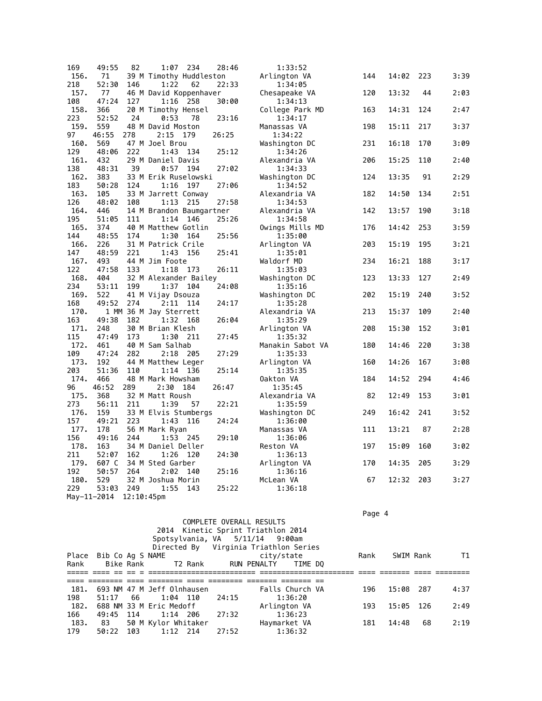| 169  | 49:55       | 82            |                                | $1:07$ 234 | 28:46 | 1:33:52                 |     |       |     |      |
|------|-------------|---------------|--------------------------------|------------|-------|-------------------------|-----|-------|-----|------|
| 156. | 71          |               | 39 M Timothy Huddleston        |            |       | Arlington VA            | 144 | 14:02 | 223 | 3:39 |
| 218  | 52:30       | 146           | 1:22                           | 62         | 22:33 | 1:34:05                 |     |       |     |      |
| 157. | 77          |               | 46 M David Koppenhaver         |            |       | Chesapeake VA           | 120 | 13:32 | 44  | 2:03 |
| 108  | 47:24       | 127           |                                | 1:16 258   | 30:00 | 1:34:13                 |     |       |     |      |
| 158. | 366         |               | 20 M Timothy Hensel            |            |       | College Park MD         | 163 | 14:31 | 124 | 2:47 |
| 223  | 52:52       | 24            | 0:53                           | 78         | 23:16 | 1:34:17                 |     |       |     |      |
| 159. | 559         |               | 48 M David Moston              |            |       | Manassas VA             | 198 | 15:11 | 217 | 3:37 |
| 97   | 46:55       | 278           | 2:15                           | 179        | 26:25 | 1:34:22                 |     |       |     |      |
| 160. | 569         |               | 47 M Joel Brou                 |            |       | Washington DC           | 231 | 16:18 | 170 | 3:09 |
| 129  | 48:06       | 222           |                                | 1:43 134   | 25:12 | 1:34:26                 |     |       |     |      |
| 161. | 432         |               | 29 M Daniel Davis              |            |       | Alexandria VA           | 206 | 15:25 | 110 | 2:40 |
| 138  | 48:31       | 39            | 0:57                           | 194        | 27:02 | 1:34:33                 |     |       |     |      |
| 162. | 383         |               | 33 M Erik Ruselowski           |            |       | Washington DC           | 124 | 13:35 | 91  | 2:29 |
| 183  | 50:28       | 124           | 1:16                           | 197        | 27:06 | 1:34:52                 |     |       |     |      |
| 163. | 105         |               | 33 M Jarrett Conway            |            |       | Alexandria VA           | 182 | 14:50 | 134 | 2:51 |
| 126  | 48:02       | 108           | 1:13                           | 215        | 27:58 | 1:34:53                 |     |       |     |      |
| 164. | 446         |               | 14 M Brandon Baumgartner       |            |       | Alexandria VA           | 142 | 13:57 | 190 | 3:18 |
| 195  | 51:05       | 111           | 1:14                           | 146        | 25:26 | 1:34:58                 |     |       |     |      |
| 165. | 374         |               | 40 M Matthew Gotlin            |            |       | Owings Mills MD         | 176 | 14:42 | 253 | 3:59 |
| 144  | 48:55       | 174           | 1:30                           | 164        | 25:56 | 1:35:00                 |     |       |     |      |
| 166. | 226         |               | 31 M Patrick Crile             |            |       | Arlington VA            | 203 | 15:19 | 195 | 3:21 |
| 147  | 48:59       | 221           |                                | 1:43 156   | 25:41 | 1:35:01                 |     |       |     |      |
| 167. | 493         |               | 44 M Jim Foote                 |            |       | Waldorf MD              | 234 | 16:21 | 188 | 3:17 |
| 122  | 47:58       | 133           | 1:18                           | 173        | 26:11 | 1:35:03                 |     |       |     |      |
| 168. | 404         |               | 32 M Alexander Bailey          |            |       | Washington DC           | 123 | 13:33 | 127 | 2:49 |
| 234  | 53:11       | 199           |                                | 1:37 104   | 24:08 | 1:35:16                 |     |       |     |      |
| 169. | 522         |               | 41 M Vijay Dsouza              |            |       | Washington DC           | 202 | 15:19 | 240 | 3:52 |
| 168  | 49:52       | 274           |                                | 2:11 114   | 24:17 | 1:35:28                 |     |       |     |      |
| 170. |             |               |                                |            |       | Alexandria VA           | 213 | 15:37 | 109 | 2:40 |
| 163  | 49:38       | 182           | 1 MM 36 M Jay Sterrett<br>1:32 | 168        |       | 1:35:29                 |     |       |     |      |
| 171. | 248         |               | 30 M Brian Klesh               |            | 26:04 |                         | 208 | 15:30 | 152 | 3:01 |
| 115  | 47:49       | 173           |                                | 1:30 211   |       | Arlington VA<br>1:35:32 |     |       |     |      |
|      |             |               |                                |            | 27:45 |                         |     |       |     |      |
| 172. | 461         |               | 40 M Sam Salhab                |            |       | Manakin Sabot VA        | 180 | 14:46 | 220 | 3:38 |
| 109  | 47:24       | 282           | 2:18                           | 205        | 27:29 | 1:35:33                 |     |       |     |      |
| 173. | 192         |               | 44 M Matthew Leger             |            |       | Arlington VA            | 160 | 14:26 | 167 | 3:08 |
| 203  | 51:36       | 110           | 1:14                           | 136        | 25:14 | 1:35:35                 |     |       |     |      |
| 174. | 466         |               | 48 M Mark Howsham              |            |       | Oakton VA               | 184 | 14:52 | 294 | 4:46 |
| 96   | 46:52       | 289           | 2:30                           | 184        | 26:47 | 1:35:45                 |     |       |     |      |
| 175. | 368         |               | 32 M Matt Roush                |            |       | Alexandria VA           | 82  | 12:49 | 153 | 3:01 |
| 273  | 56:11 211   |               | 1:39                           | 57         | 22:21 | 1:35:59                 |     |       |     |      |
| 176. | 159         |               | 33 M Elvis Stumbergs           |            |       | Washington DC           | 249 | 16:42 | 241 | 3:52 |
| 157  | 49:21       | 223           | 1:43                           | 116        | 24:24 | 1:36:00                 |     |       |     |      |
| 177. | 178         |               | 56 M Mark Ryan                 |            |       | Manassas VA             | 111 | 13:21 | 87  | 2:28 |
| 156  | 49:16       | 244           |                                | 1:53 245   | 29:10 | 1:36:06                 |     |       |     |      |
| 178. | 163         |               | 34 M Daniel Deller             |            |       | Reston VA               | 197 | 15:09 | 160 | 3:02 |
| 211  | 52:07       | 162           | 1:26                           | 120        | 24:30 | 1:36:13                 |     |       |     |      |
| 179. | 607 C       |               | 34 M Sted Garber               |            |       | Arlington VA            | 170 | 14:35 | 205 | 3:29 |
| 192  | 50:57       | 264           | 2:02                           | 140        | 25:16 | 1:36:16                 |     |       |     |      |
| 180. | 529         |               | 32 M Joshua Morin              |            |       | McLean VA               | 67  | 12:32 | 203 | 3:27 |
| 229  | 53:03       | 249           | 1:55                           | 143        | 25:22 | 1:36:18                 |     |       |     |      |
|      | May-11-2014 | $12:10:45$ pm |                                |            |       |                         |     |       |     |      |

en de la provincia de la provincia de la provincia de la provincia de la provincia de la provincia de la provi

|       |                  |           |                            |         |       | COMPLETE OVERALL RESULTS              |                 |      |           |      |      |
|-------|------------------|-----------|----------------------------|---------|-------|---------------------------------------|-----------------|------|-----------|------|------|
|       |                  |           |                            |         |       | 2014 Kinetic Sprint Triathlon 2014    |                 |      |           |      |      |
|       |                  |           |                            |         |       | Spotsylvania, VA 5/11/14 9:00am       |                 |      |           |      |      |
|       |                  |           |                            |         |       | Directed By Virginia Triathlon Series |                 |      |           |      |      |
| Place | Bib Co Ag S NAME |           |                            |         |       | city/state                            |                 | Rank | SWIM Rank |      | T1   |
| Rank  |                  | Bike Rank |                            | T2 Rank |       | RUN PENALTY                           | TIME DO         |      |           |      |      |
|       |                  |           |                            |         |       |                                       |                 |      |           |      |      |
|       |                  |           |                            |         |       |                                       |                 |      |           |      |      |
| 181.  |                  |           | 693 NM 47 M Jeff Olnhausen |         |       |                                       | Falls Church VA | 196  | 15:08     | -287 | 4:37 |
| 198   | 51:17            | - 66      | 1:04 110                   |         | 24:15 |                                       | 1:36:20         |      |           |      |      |
| 182.  |                  |           | 688 NM 33 M Eric Medoff    |         |       | Arlington VA                          |                 | 193  | 15:05     | 126  | 2:49 |
| 166   | 49:45            | 114       | 1:14 206                   |         | 27:32 |                                       | 1:36:23         |      |           |      |      |
| 183.  | 83               |           | 50 M Kylor Whitaker        |         |       | Haymarket VA                          |                 | 181  | 14:48     | 68   | 2:19 |
| 179   | 50:22            | 103       | $1:12$ 214                 |         | 27:52 |                                       | 1:36:32         |      |           |      |      |
|       |                  |           |                            |         |       |                                       |                 |      |           |      |      |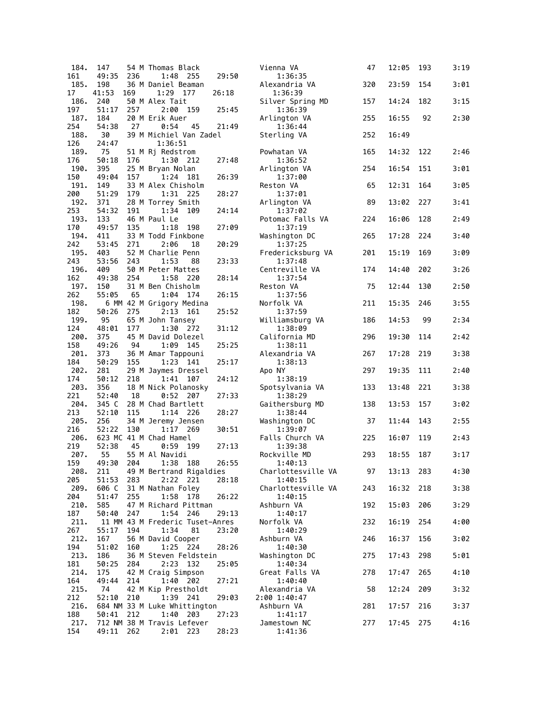| 184.        | 147            |     | 54 M Thomas Black                        |       | Vienna VA                     | 47  | 12:05 | 193 | 3:19 |
|-------------|----------------|-----|------------------------------------------|-------|-------------------------------|-----|-------|-----|------|
| 161         | 49:35          | 236 | 1:48 255                                 | 29:50 | 1:36:35                       |     |       |     |      |
| 185.<br>17  | 198<br>41:53   | 169 | 36 M Daniel Beaman<br>1:29 177           | 26:18 | Alexandria VA<br>1:36:39      | 320 | 23:59 | 154 | 3:01 |
| 186.        | 240            |     | 50 M Alex Tait                           |       | Silver Spring MD              | 157 | 14:24 | 182 | 3:15 |
| 197         | 51:17          | 257 | 2:00<br>159                              | 25:45 | 1:36:39                       |     |       |     |      |
| 187.        | 184            |     | 20 M Erik Auer                           |       | Arlington VA                  | 255 | 16:55 | 92  | 2:30 |
| 254         | 54:38          | 27  | 0:54<br>45                               | 21:49 | 1:36:44                       |     |       |     |      |
| 188.        | 30             |     | 39 M Michiel Van Zadel                   |       | Sterling VA                   | 252 | 16:49 |     |      |
| 126<br>189. | 24:47<br>75    |     | 1:36:51<br>51 M Ri Redstrom              |       | Powhatan VA                   | 165 | 14:32 | 122 | 2:46 |
| 176         | 50:18          | 176 | 1:30 212                                 | 27:48 | 1:36:52                       |     |       |     |      |
| 190.        | 395            |     | 25 M Bryan Nolan                         |       | Arlington VA                  | 254 | 16:54 | 151 | 3:01 |
| 150         | 49:04          | 157 | 1:24<br>181                              | 26:39 | 1:37:00                       |     |       |     |      |
| 191.        | 149            |     | 33 M Alex Chisholm                       |       | Reston VA                     | 65  | 12:31 | 164 | 3:05 |
| 200<br>192. | 51:29<br>371   | 179 | 1:31 225                                 | 28:27 | 1:37:01                       |     | 13:02 | 227 |      |
| 253         | 54:32          | 191 | 28 M Torrey Smith<br>1:34<br>109         | 24:14 | Arlington VA<br>1:37:02       | 89  |       |     | 3:41 |
| 193.        | 133            |     | 46 M Paul Le                             |       | Potomac Falls VA              | 224 | 16:06 | 128 | 2:49 |
| 170         | 49:57          | 135 | 1:18<br>198                              | 27:09 | 1:37:19                       |     |       |     |      |
| 194.        | 411            |     | 33 M Todd Finkbone                       |       | Washington DC                 | 265 | 17:28 | 224 | 3:40 |
| 242<br>195. | 53:45          | 271 | 2:06<br>18<br>52 M Charlie Penn          | 20:29 | 1:37:25                       |     | 15:19 | 169 | 3:09 |
| 243         | 403<br>53:56   | 243 | 1:53<br>88                               | 23:33 | Fredericksburg VA<br>1:37:48  | 201 |       |     |      |
| 196.        | 409            |     | 50 M Peter Mattes                        |       | Centreville VA                | 174 | 14:40 | 202 | 3:26 |
| 162         | 49:38          | 254 | 1:58 220                                 | 28:14 | 1:37:54                       |     |       |     |      |
| 197.        | 150            |     | 31 M Ben Chisholm                        |       | Reston VA                     | 75  | 12:44 | 130 | 2:50 |
| 262         | 55:05          | 65  | 1:04 174                                 | 26:15 | 1:37:56                       |     | 15:35 | 246 | 3:55 |
| 198.<br>182 | 50:26          | 275 | 6 MM 42 M Grigory Medina<br>2:13<br>161  | 25:52 | Norfolk VA<br>1:37:59         | 211 |       |     |      |
| 199.        | 95             |     | 65 M John Tansey                         |       | Williamsburg VA               | 186 | 14:53 | 99  | 2:34 |
| 124         | 48:01          | 177 | 1:30 272                                 | 31:12 | 1:38:09                       |     |       |     |      |
| 200.        | 375            |     | 45 M David Dolezel                       |       | California MD                 | 296 | 19:30 | 114 | 2:42 |
| 158<br>201. | 49:26<br>373   | 94  | 1:09 145<br>36 M Amar Tappouni           | 25:25 | 1:38:11<br>Alexandria VA      | 267 | 17:28 | 219 | 3:38 |
| 184         | 50:29          | 155 | 1:23 141                                 | 25:17 | 1:38:13                       |     |       |     |      |
| 202.        | 281            |     | 29 M Jaymes Dressel                      |       | Apo NY                        | 297 | 19:35 | 111 | 2:40 |
| 174         | 50:12          | 218 | 1:41<br>107                              | 24:12 | 1:38:19                       |     |       |     |      |
| 203.<br>221 | 356<br>52:40   | 18  | 18 M Nick Polanosky<br>0:52              | 27:33 | Spotsylvania VA               | 133 | 13:48 | 221 | 3:38 |
| 204.        | 345 C          |     | 207<br>28 M Chad Bartlett                |       | 1:38:29<br>Gaithersburg MD    | 138 | 13:53 | 157 | 3:02 |
| 213         | 52:10          | 115 | 1:14 226                                 | 28:27 | 1:38:44                       |     |       |     |      |
| 205.        | 256            |     | 34 M Jeremy Jensen                       |       | Washington DC                 | 37  | 11:44 | 143 | 2:55 |
| 216         | 52:22          | 130 | $1:17$ 269                               | 30:51 | 1:39:07                       |     |       |     |      |
| 206.<br>219 | 52:38          | 45  | 623 MC 41 M Chad Hamel<br>0:59 199       | 27:13 | Falls Church VA<br>1:39:38    | 225 | 16:07 | 119 | 2:43 |
| 207.        | 55             |     | 55 M Al Navidi                           |       | Rockville MD                  | 293 | 18:55 | 187 | 3:17 |
| 159         | 49:30          | 204 | 1:38 188                                 | 26:55 | 1:40:13                       |     |       |     |      |
| 208.        | 211            |     | 49 M Bertrand Rigaldies                  |       | Charlottesville VA            | 97  | 13:13 | 283 | 4:30 |
| 205<br>209. | 51:53<br>606 C | 283 | 2:22 221<br>31 M Nathan Foley            | 28:18 | 1:40:15<br>Charlottesville VA | 243 | 16:32 | 218 | 3:38 |
| 204         | 51:47          | 255 | 1:58 178                                 | 26:22 | 1:40:15                       |     |       |     |      |
| 210.        | 585            |     | 47 M Richard Pittman                     |       | Ashburn VA                    | 192 | 15:03 | 206 | 3:29 |
| 187         | 50:40          | 247 | 1:54 246                                 | 29:13 | 1:40:17                       |     |       |     |      |
| 211.        |                |     | 11 MM 43 M Frederic Tuset-Anres          |       | Norfolk VA                    | 232 | 16:19 | 254 | 4:00 |
| 267<br>212. | 55:17<br>167   | 194 | 1:34<br>81<br>56 M David Cooper          | 23:20 | 1:40:29<br>Ashburn VA         | 246 | 16:37 | 156 | 3:02 |
| 194         | 51:02          | 160 | 1:25 224                                 | 28:26 | 1:40:30                       |     |       |     |      |
| 213.        | 186            |     | 36 M Steven Feldstein                    |       | Washington DC                 | 275 | 17:43 | 298 | 5:01 |
| 181         | 50:25          | 284 | 2:23<br>132                              | 25:05 | 1:40:34                       |     |       |     |      |
| 214.        | 175<br>49:44   |     | 42 M Craig Simpson                       | 27:21 | Great Falls VA                | 278 | 17:47 | 265 | 4:10 |
| 164<br>215. | 74             | 214 | 1:40 202<br>42 M Kip Prestholdt          |       | 1:40:40<br>Alexandria VA      | 58  | 12:24 | 209 | 3:32 |
| 212         | 52:10          | 210 | 1:39 241                                 | 29:03 | 2:00 1:40:47                  |     |       |     |      |
| 216.        |                |     | 684 NM 33 M Luke Whittington             |       | Ashburn VA                    | 281 | 17:57 | 216 | 3:37 |
| 188         | 50:41          | 212 | 1:40 203                                 | 27:23 | 1:41:17                       |     |       |     |      |
| 217.<br>154 | 49:11 262      |     | 712 NM 38 M Travis Lefever<br>$2:01$ 223 | 28:23 | Jamestown NC<br>1:41:36       | 277 | 17:45 | 275 | 4:16 |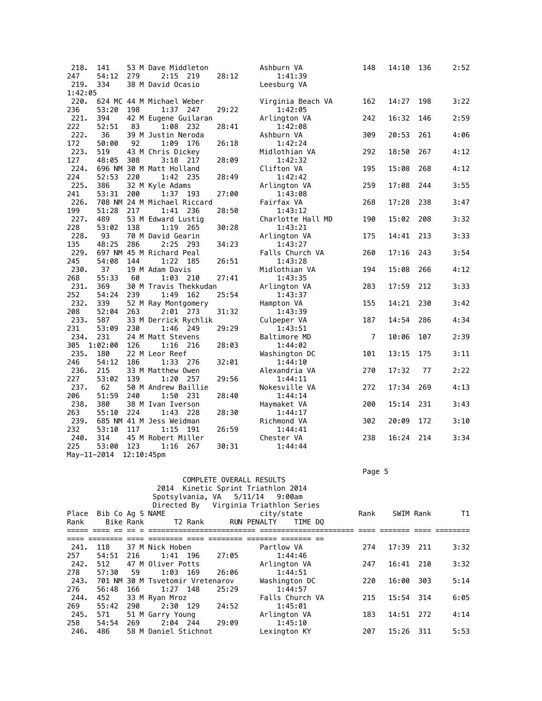| 218.          | 141          |               | 53 M Dave Middleton                  |       | Ashburn VA               | 148            | 14:10 | 136 | 2:52 |
|---------------|--------------|---------------|--------------------------------------|-------|--------------------------|----------------|-------|-----|------|
| 247           | 54:12        | 279           | 2:15<br>219                          | 28:12 | 1:41:39                  |                |       |     |      |
| 219.          | 334          |               | 38 M David Ocasio                    |       | Leesburg VA              |                |       |     |      |
| 1:42:05       |              |               |                                      |       |                          |                |       |     |      |
| 220.          |              |               | 624 MC 44 M Michael Weber            |       | Virginia Beach VA        | 162            | 14:27 | 198 | 3:22 |
| 236           | 53:20        | 198           | $1:37$ 247                           | 29:22 | 1:42:05                  |                | 16:32 | 146 |      |
| 221.<br>222   | 394<br>52:51 | 83            | 42 M Eugene Guilaran<br>1:08 232     | 28:41 | Arlington VA<br>1:42:08  | 242            |       |     | 2:59 |
| 222.          | 36           |               | 39 M Justin Neroda                   |       | Ashburn VA               | 309            | 20:53 | 261 | 4:06 |
| 172           | 50:00        | 92            | 1:09<br>176                          | 26:18 | 1:42:24                  |                |       |     |      |
| 223.          | 519          |               | 43 M Chris Dickey                    |       | Midlothian VA            | 292            | 18:50 | 267 | 4:12 |
| 127           | 48:05        | 308           | 3:18<br>217                          | 28:09 | 1:42:32                  |                |       |     |      |
| 224.          |              |               | 696 NM 30 M Matt Holland             |       | Clifton VA               | 195            | 15:08 | 268 | 4:12 |
| 224           | 52:53        | 220           | 1:42<br>- 235                        | 28:49 | 1:42:42                  |                |       |     |      |
| 225.          | 386          |               | 32 M Kyle Adams                      |       | Arlington VA             | 259            | 17:08 | 244 | 3:55 |
| 241           | 53:31        | 200           | 1:37 193                             | 27:00 | 1:43:08                  |                |       |     |      |
| 226.          |              |               | 708 NM 24 M Michael Riccard          |       | Fairfax VA               | 268            | 17:28 | 238 | 3:47 |
| 199           | 51:28        | 217           | 1:41<br>236                          | 28:50 | 1:43:12                  |                |       |     |      |
| 227.          | 489          |               | 53 M Edward Lustig                   |       | Charlotte Hall MD        | 190            | 15:02 | 208 | 3:32 |
| 228           | 53:02        | 138           | 1:19<br>265                          | 30:28 | 1:43:21                  |                |       |     |      |
| 228.          | 93           |               | 70 M David Gearin                    |       | Arlington VA             | 175            | 14:41 | 213 | 3:33 |
| 135           | 48:25        | 286           | 2:25<br>- 293                        | 34:23 | 1:43:27                  |                |       |     |      |
| 229.          |              |               | 697 NM 45 M Richard Peal             |       | Falls Church VA          | 260            | 17:16 | 243 | 3:54 |
| 245<br>230.   | 54:08        | 144           | 1:22<br>185                          | 26:51 | 1:43:28                  |                |       |     |      |
| 268           | 37<br>55:33  |               | 19 M Adam Davis                      | 27:41 | Midlothian VA<br>1:43:35 | 194            | 15:08 | 266 | 4:12 |
| 231.          | 369          | 60            | 1:03<br>210<br>30 M Travis Thekkudan |       | Arlington VA             | 283            | 17:59 | 212 | 3:33 |
| 252           | 54:24        | 239           | 1:49<br>162                          | 25:54 | 1:43:37                  |                |       |     |      |
| 232.          | 339          |               | 52 M Ray Montgomery                  |       | Hampton VA               | 155            | 14:21 | 230 | 3:42 |
| 208           | 52:04        | 263           | 2:01<br>- 273                        | 31:32 | 1:43:39                  |                |       |     |      |
| 233.          | 587          |               | 33 M Derrick Rychlik                 |       | Culpeper VA              | 187            | 14:54 | 286 | 4:34 |
| 231           | 53:09        | 230           | 1:46<br>249                          | 29:29 | 1:43:51                  |                |       |     |      |
| 234.          | 231          |               | 24 M Matt Stevens                    |       | Baltimore MD             | $\overline{7}$ | 10:06 | 107 | 2:39 |
| 305           | 1:02:00      | 126           | 1:16<br>216                          | 28:03 | 1:44:02                  |                |       |     |      |
| 235.          | 180          |               | 22 M Leor Reef                       |       | Washington DC            | 101            | 13:15 | 175 | 3:11 |
| 246           | 54:12        | 186           | 1:33<br>276                          | 32:01 | 1:44:10                  |                |       |     |      |
| 236.          | 215          |               | 33 M Matthew Owen                    |       | Alexandria VA            | 270            | 17:32 | 77  | 2:22 |
| 227           | 53:02        | 139           | 1:20<br>257                          | 29:56 | 1:44:11                  |                |       |     |      |
| 237.          | 62           |               | 50 M Andrew Baillie                  |       | Nokesville VA            | 272            | 17:34 | 269 | 4:13 |
| 206           | 51:59        | 240           | 1:50<br>- 231                        | 28:40 | 1:44:14                  |                |       |     |      |
| 238.          | 380          |               | 38 M Ivan Iverson                    |       | Haymaket VA              | 200            | 15:14 | 231 | 3:43 |
| 263           | 55:10        | 224           | 1:43<br>228                          | 28:30 | 1:44:17                  |                |       |     |      |
| 239.          |              |               | 685 NM 41 M Jess Weidman             |       | Richmond VA              | 302            | 20:09 | 172 | 3:10 |
| 232           | 53:10        | 117           | 1:15<br>191                          | 26:59 | 1:44:41                  |                |       |     |      |
| 240.          | 314          |               | 45 M Robert Miller                   |       | Chester VA               | 238            | 16:24 | 214 | 3:34 |
| 225           | 53:00        | 123           | 1:16<br>267                          | 30:31 | 1:44:44                  |                |       |     |      |
| $May-11-2014$ |              | $12:10:45$ pm |                                      |       |                          |                |       |     |      |

Page 5 - Page 5 - Page 5 - Page 5 - Page 5 - Page 5 - Page 5 - Page 5 - Page 5 - Page 5 - Page 5

|       |     |  |                               |                                                                                                                                                     |                                                          |                                         |                                                                                                                                                                                                                                                                                                  |      |     | T1                                                                  |
|-------|-----|--|-------------------------------|-----------------------------------------------------------------------------------------------------------------------------------------------------|----------------------------------------------------------|-----------------------------------------|--------------------------------------------------------------------------------------------------------------------------------------------------------------------------------------------------------------------------------------------------------------------------------------------------|------|-----|---------------------------------------------------------------------|
|       |     |  |                               |                                                                                                                                                     |                                                          |                                         |                                                                                                                                                                                                                                                                                                  |      |     |                                                                     |
|       |     |  |                               |                                                                                                                                                     |                                                          |                                         |                                                                                                                                                                                                                                                                                                  |      |     |                                                                     |
|       |     |  |                               |                                                                                                                                                     |                                                          |                                         |                                                                                                                                                                                                                                                                                                  |      |     |                                                                     |
|       |     |  |                               |                                                                                                                                                     |                                                          |                                         | 274                                                                                                                                                                                                                                                                                              |      |     | 3:32                                                                |
| 54:51 | 216 |  |                               | 27:05                                                                                                                                               |                                                          |                                         |                                                                                                                                                                                                                                                                                                  |      |     |                                                                     |
| 512   |     |  |                               |                                                                                                                                                     |                                                          |                                         | 247                                                                                                                                                                                                                                                                                              |      | 210 | 3:32                                                                |
| 57:30 | 59  |  |                               | 26:06                                                                                                                                               |                                                          |                                         |                                                                                                                                                                                                                                                                                                  |      |     |                                                                     |
|       |     |  |                               |                                                                                                                                                     |                                                          |                                         | 220                                                                                                                                                                                                                                                                                              |      | 303 | 5:14                                                                |
| 56:48 | 166 |  |                               | 25:29                                                                                                                                               |                                                          |                                         |                                                                                                                                                                                                                                                                                                  |      |     |                                                                     |
| 452   |     |  |                               |                                                                                                                                                     |                                                          |                                         | 215                                                                                                                                                                                                                                                                                              |      | 314 | 6:05                                                                |
| 55:42 | 290 |  |                               | 24:52                                                                                                                                               |                                                          |                                         |                                                                                                                                                                                                                                                                                                  |      |     |                                                                     |
| 571   |     |  |                               |                                                                                                                                                     |                                                          |                                         | 183                                                                                                                                                                                                                                                                                              |      | 272 | 4:14                                                                |
| 54:54 | 269 |  |                               | 29:09                                                                                                                                               |                                                          |                                         |                                                                                                                                                                                                                                                                                                  |      |     |                                                                     |
| 486   |     |  |                               |                                                                                                                                                     |                                                          |                                         | 207                                                                                                                                                                                                                                                                                              |      | 311 | 5:53                                                                |
|       | 118 |  | Bib Co Aq S NAME<br>Bike Rank | T2 Rank<br>37 M Nick Hoben<br>1:41 196<br>47 M Oliver Potts<br>$1:03$ 169<br>1:27 148<br>33 M Ryan Mroz<br>2:30 129<br>51 M Garry Young<br>2:04 244 | 701 NM 30 M Tsvetomir Vretenarov<br>58 M Daniel Stichnot | COMPLETE OVERALL RESULTS<br>RUN PENALTY | 2014 Kinetic Sprint Triathlon 2014<br>Spotsylvania, VA 5/11/14 9:00am<br>Directed By Virginia Triathlon Series<br>city/state<br>TIME DO<br>Partlow VA<br>1:44:46<br>Arlington VA<br>1:44:51<br>Washington DC<br>1:44:57<br>Falls Church VA<br>1:45:01<br>Arlington VA<br>1:45:10<br>Lexington KY | Rank |     | SWIM Rank<br>17:39 211<br>16:41<br>16:00<br>15:54<br>14:51<br>15:26 |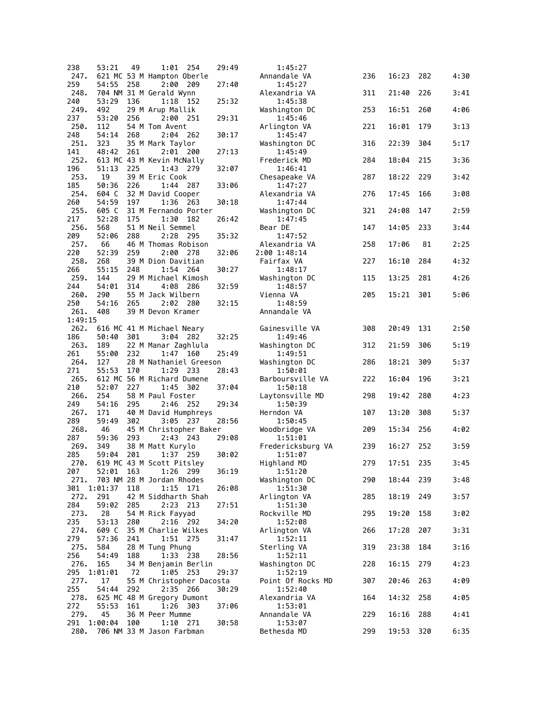| 238     | 53:21     | 49  | 1:01                           | - 254 | 29:49 | 1:45:27           |     |       |     |      |
|---------|-----------|-----|--------------------------------|-------|-------|-------------------|-----|-------|-----|------|
| 247.    |           |     | 621 MC 53 M Hampton Oberle     |       |       | Annandale VA      | 236 | 16:23 | 282 | 4:30 |
| 259     | 54:55     | 258 | 2:00                           | 209   | 27:40 | 1:45:27           |     |       |     |      |
| 248.    |           |     | 704 NM 31 M Gerald Wynn        |       |       | Alexandria VA     | 311 | 21:40 | 226 | 3:41 |
| 240     | 53:29     | 136 | 1:18                           | - 152 | 25:32 | 1:45:38           |     |       |     |      |
| 249.    | 492       |     | 29 M Arup Mallik               |       |       | Washington DC     | 253 | 16:51 | 260 | 4:06 |
| 237     | 53:20     | 256 | 2:00 251                       |       | 29:31 | 1:45:46           |     |       |     |      |
| 250.    | 112       |     | 54 M Tom Avent                 |       |       | Arlington VA      | 221 | 16:01 | 179 | 3:13 |
|         | 54:14     |     |                                |       |       |                   |     |       |     |      |
| 248     |           | 268 | 2:04                           | - 262 | 30:17 | 1:45:47           |     |       |     |      |
| 251.    | 323       |     | 35 M Mark Taylor               |       |       | Washington DC     | 316 | 22:39 | 304 | 5:17 |
| 141     | 48:42     | 261 | $2:01$ 200                     |       | 27:13 | 1:45:49           |     |       |     |      |
| 252.    |           |     | 613 MC 43 M Kevin McNally      |       |       | Frederick MD      | 284 | 18:04 | 215 | 3:36 |
| 196     | 51:13     | 225 | 1:43 279                       |       | 32:07 | 1:46:41           |     |       |     |      |
| 253.    | 19        |     | 39 M Eric Cook                 |       |       | Chesapeake VA     | 287 | 18:22 | 229 | 3:42 |
| 185     | 50:36     | 226 | 1:44 287                       |       | 33:06 | 1:47:27           |     |       |     |      |
| 254.    | 604 C     |     | 32 M David Cooper              |       |       | Alexandria VA     | 276 | 17:45 | 166 | 3:08 |
| 260     | 54:59     | 197 | 1:36                           | 263   | 30:18 | 1:47:44           |     |       |     |      |
| 255.    | 605 C     |     | 31 M Fernando Porter           |       |       | Washington DC     | 321 | 24:08 | 147 | 2:59 |
| 217     | 52:28     | 175 | 1:30                           | 182   | 26:42 | 1:47:45           |     |       |     |      |
| 256.    | 568       |     | 51 M Neil Semmel               |       |       | Bear DE           | 147 | 14:05 | 233 | 3:44 |
| 209     | 52:06     | 288 | 2:28                           | - 295 | 35:32 | 1:47:52           |     |       |     |      |
| 257.    | 66        |     | 46 M Thomas Robison            |       |       | Alexandria VA     | 258 | 17:06 | 81  | 2:25 |
| 220     | 52:39     | 259 | 2:00                           | -278  | 32:06 | 2:00 1:48:14      |     |       |     |      |
|         |           |     |                                |       |       |                   |     |       |     |      |
| 258.    | 268       |     | 39 M Dion Davitian             |       |       | Fairfax VA        | 227 | 16:10 | 284 | 4:32 |
| 266     | 55:15     | 248 | 1:54 264                       |       | 30:27 | 1:48:17           |     |       |     |      |
| 259.    | 144       |     | 29 M Michael Kimosh            |       |       | Washington DC     | 115 | 13:25 | 281 | 4:26 |
| 244     | 54:01     | 314 | 4:08                           | 286   | 32:59 | 1:48:57           |     |       |     |      |
| 260.    | 290       |     | 55 M Jack Wilbern              |       |       | Vienna VA         | 205 | 15:21 | 301 | 5:06 |
| 250     | 54:16     | 265 | 2:02                           | 280   | 32:15 | 1:48:59           |     |       |     |      |
| 261.    | 408       |     | 39 M Devon Kramer              |       |       | Annandale VA      |     |       |     |      |
| 1:49:15 |           |     |                                |       |       |                   |     |       |     |      |
| 262.    |           |     | 616 MC 41 M Michael Neary      |       |       | Gainesville VA    | 308 | 20:49 | 131 | 2:50 |
| 186     | 50:40     | 301 | 3:04                           | - 282 | 32:25 | 1:49:46           |     |       |     |      |
| 263.    | 189       |     | 22 M Manar Zaghlula            |       |       | Washington DC     | 312 | 21:59 | 306 | 5:19 |
| 261     | 55:00     | 232 | 1:47 160                       |       | 25:49 | 1:49:51           |     |       |     |      |
| 264.    | 127       |     | 28 M Nathaniel Greeson         |       |       |                   |     | 18:21 | 309 | 5:37 |
|         |           |     |                                |       |       | Washington DC     | 286 |       |     |      |
| 271     | 55:53     | 170 | 1:29                           | 233   | 28:43 | 1:50:01           |     |       |     |      |
| 265.    |           |     | 612 MC 56 M Richard Dumene     |       |       | Barboursville VA  | 222 | 16:04 | 196 | 3:21 |
| 210     | 52:07     | 227 | 1:45                           | 302   | 37:04 | 1:50:18           |     |       |     |      |
| 266.    | 254       |     | 58 M Paul Foster               |       |       | Laytonsville MD   | 298 | 19:42 | 280 | 4:23 |
| 249     | 54:16     | 295 | 2:46                           | 252   | 29:34 | 1:50:39           |     |       |     |      |
| 267.    | 171       |     | 40 M David Humphreys           |       |       | Herndon VA        | 107 | 13:20 | 308 | 5:37 |
| 289     | 59:49     | 302 | 3:05                           | - 237 | 28:56 | 1:50:45           |     |       |     |      |
| 268.    | 46        |     | 45 M Christopher Baker         |       |       | Woodbridge VA     | 209 | 15:34 | 256 | 4:02 |
| 287     | 59:36     | 293 | 2:43 243                       |       | 29:08 | 1:51:01           |     |       |     |      |
| 269.    | 349       |     | 38 M Matt Kurylo               |       |       | Fredericksburg VA | 239 | 16:27 | 252 | 3:59 |
| 285     | 59:04     | 201 | 1:37 259                       |       | 30:02 | 1:51:07           |     |       |     |      |
|         |           |     | 270. 619 MC 43 M Scott Pitsley |       |       | Highland MD       | 279 | 17:51 | 235 | 3:45 |
| 207     | 52:01 163 |     | 1:26 299                       |       | 36:19 | 1:51:20           |     |       |     |      |
|         |           |     |                                |       |       |                   |     |       |     |      |
| 271.    |           |     | 703 NM 28 M Jordan Rhodes      |       |       | Washington DC     | 290 | 18:44 | 239 | 3:48 |
| 301     | 1:01:37   | 118 | 1:15                           | 171   | 26:08 | 1:51:30           |     |       |     |      |
| 272.    | 291       |     | 42 M Siddharth Shah            |       |       | Arlington VA      | 285 | 18:19 | 249 | 3:57 |
| 284     | 59:02     | 285 | $2:23$ 213                     |       | 27:51 | 1:51:30           |     |       |     |      |
| 273.    | 28        |     | 54 M Rick Fayyad               |       |       | Rockville MD      | 295 | 19:20 | 158 | 3:02 |
| 235     | 53:13     | 280 | $2:16$ 292                     |       | 34:20 | 1:52:08           |     |       |     |      |
| 274.    | 609 C     |     | 35 M Charlie Wilkes            |       |       | Arlington VA      | 266 | 17:28 | 207 | 3:31 |
| 279     | 57:36     | 241 | 1:51 275                       |       | 31:47 | 1:52:11           |     |       |     |      |
| 275.    | 584       |     | 28 M Tung Phung                |       |       | Sterling VA       | 319 | 23:38 | 184 | 3:16 |
| 256     | 54:49     | 188 | 1:33 238                       |       | 28:56 | 1:52:11           |     |       |     |      |
| 276.    | 165       |     | 34 M Benjamin Berlin           |       |       | Washington DC     | 228 | 16:15 | 279 | 4:23 |
| 295     | 1:01:01   | 72  | $1:05$ 253                     |       | 29:37 | 1:52:19           |     |       |     |      |
|         |           |     |                                |       |       |                   |     |       |     |      |
| 277.    | 17        |     | 55 M Christopher Dacosta       |       |       | Point Of Rocks MD | 307 | 20:46 | 263 | 4:09 |
| 255     | 54:44     | 292 | 2:35 266                       |       | 30:29 | 1:52:40           |     |       |     |      |
| 278.    |           |     | 625 MC 48 M Gregory Dumont     |       |       | Alexandria VA     | 164 | 14:32 | 258 | 4:05 |
| 272     | 55:53     | 161 | 1:26 303                       |       | 37:06 | 1:53:01           |     |       |     |      |
| 279.    | 45        |     | 36 M Peer Mumme                |       |       | Annandale VA      | 229 | 16:16 | 288 | 4:41 |
| 291     | 1:00:04   | 100 | 1:10                           | 271   | 30:58 | 1:53:07           |     |       |     |      |
|         |           |     | 280. 706 NM 33 M Jason Farbman |       |       | Bethesda MD       | 299 | 19:53 | 320 | 6:35 |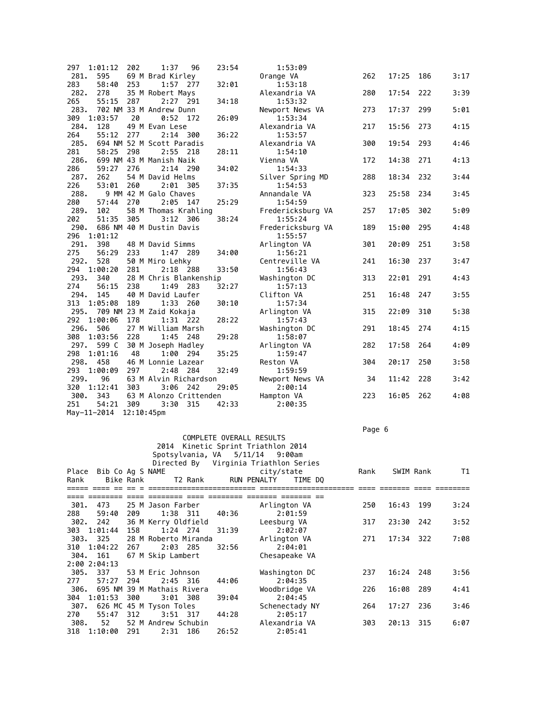| 297         | 1:01:12       | 202        | 1:37                              | 23:54<br>96 | 1:53:09                    |     |       |     |      |
|-------------|---------------|------------|-----------------------------------|-------------|----------------------------|-----|-------|-----|------|
| 281.        | 595           |            | 69 M Brad Kirley                  |             | Orange VA                  | 262 | 17:25 | 186 | 3:17 |
| 283         | 58:40         | 253        | 1:57<br>277                       | 32:01       | 1:53:18                    |     |       |     |      |
| 282.        | 278           |            | 35 M Robert Mays                  |             | Alexandria VA              | 280 | 17:54 | 222 | 3:39 |
| 265         | 55:15         | 287        | 2:27 291                          | 34:18       | 1:53:32                    |     |       |     |      |
| 283.        |               |            | 702 NM 33 M Andrew Dunn           |             | Newport News VA            | 273 | 17:37 | 299 | 5:01 |
| 309         | 1:03:57       | 20         | $0:52$ 172                        | 26:09       | 1:53:34                    |     |       |     |      |
| 284.        | 128           |            | 49 M Evan Lese                    |             | Alexandria VA              | 217 | 15:56 | 273 | 4:15 |
| 264         | 55:12         | 277        | $2:14$ 300                        | 36:22       | 1:53:57                    |     |       |     |      |
| 285.        |               |            | 694 NM 52 M Scott Paradis         |             | Alexandria VA              | 300 | 19:54 | 293 | 4:46 |
| 281         | 58:25         | 298        | 2:55 218                          | 28:11       | 1:54:10                    |     |       |     |      |
| 286.        |               |            | 699 NM 43 M Manish Naik           |             | Vienna VA                  | 172 | 14:38 | 271 | 4:13 |
| 286         | 59:27         | 276        | $2:14$ 290                        | 34:02       | 1:54:33                    |     |       |     |      |
| 287.        | 262           |            | 54 M David Helms                  |             | Silver Spring MD           | 288 | 18:34 | 232 | 3:44 |
| 226         | 53:01         | 260        | 2:01 305                          | 37:35       | 1:54:53                    |     |       |     |      |
| 288.        |               |            | 9 MM 42 M Galo Chaves             |             | Annandale VA               | 323 | 25:58 | 234 | 3:45 |
| 280         | 57:44         | 270        | $2:05$ 147                        | 25:29       | 1:54:59                    |     |       |     |      |
| 289.        | 102           |            | 58 M Thomas Krahling              |             | Fredericksburg VA          | 257 | 17:05 | 302 | 5:09 |
| 202         | 51:35         | 305        | $3:12$ 306                        | 38:24       | 1:55:24                    |     |       |     |      |
| 290.        |               |            | 686 NM 40 M Dustin Davis          |             | Fredericksburg VA          | 189 | 15:00 | 295 | 4:48 |
| 296         | 1:01:12       |            |                                   |             | 1:55:57                    |     |       |     |      |
| 291.        | 398           |            | 48 M David Simms                  |             | Arlington VA               | 301 | 20:09 | 251 | 3:58 |
| 275         | 56:29         | 233        | 1:47 289                          | 34:00       | 1:56:21                    |     |       |     |      |
| 292.        | 528           |            | 50 M Miro Lehky                   |             | Centreville VA             | 241 | 16:30 | 237 | 3:47 |
| 294         | 1:00:20       | 281        | $2:18$ 288                        | 33:50       | 1:56:43                    |     |       |     |      |
| 293.        | 340           |            | 28 M Chris Blankenship            |             | Washington DC              | 313 | 22:01 | 291 | 4:43 |
| 274         | 56:15         | 238        | 1:49 283                          | 32:27       | 1:57:13                    |     |       |     |      |
| 294.        | 145           |            | 40 M David Laufer                 |             | Clifton VA                 | 251 | 16:48 | 247 | 3:55 |
| 313         | 1:05:08       | 189        | 1:33 260                          | 30:10       | 1:57:34                    |     |       |     |      |
| 295.        |               |            | 709 NM 23 M Zaid Kokaja           |             | Arlington VA               | 315 | 22:09 | 310 | 5:38 |
| 292         | 1:00:06       | 178        | $1:31$ 222                        | 28:22       | 1:57:43                    |     |       |     |      |
| 296.        | 506           |            | 27 M William Marsh                |             | Washington DC              | 291 | 18:45 | 274 | 4:15 |
|             | 308 1:03:56   | 228        | $1:45$ 248                        | 29:28       | 1:58:07                    |     |       |     |      |
| 297.<br>298 | 599 C         |            | 30 M Joseph Hadley                |             | Arlington VA               | 282 | 17:58 | 264 | 4:09 |
|             | 1:01:16       | 48         | 1:00 294                          | 35:25       | 1:59:47                    |     |       |     |      |
| 298.        | 458           |            | 46 M Lonnie Lazear                |             | Reston VA                  | 304 | 20:17 | 250 | 3:58 |
| 293<br>299. | 1:00:09<br>96 | 297        | 2:48 284                          | 32:49       | 1:59:59                    | 34  | 11:42 | 228 | 3:42 |
| 320         | 1:12:41       | 303        | 63 M Alvin Richardson<br>3:06 242 | 29:05       | Newport News VA<br>2:00:14 |     |       |     |      |
| 300.        | 343           |            | 63 M Alonzo Crittenden            |             | Hampton VA                 | 223 | 16:05 | 262 | 4:08 |
| 251         | 54:21         | 309        | 3:30<br>315                       | 42:33       | 2:00:35                    |     |       |     |      |
|             | May-11-2014   | 12:10:45pm |                                   |             |                            |     |       |     |      |
|             |               |            |                                   |             |                            |     |       |     |      |

Page 6 - Page 6 - Page 6 - Page 6 - Page 6 - Page 6 - Page 6 - Page 6 - Page 6 - Page 6 - Page 6

| 2014 Kinetic Sprint Triathlon 2014                         |                      |
|------------------------------------------------------------|----------------------|
| Spotsylvania, VA 5/11/14 9:00am                            |                      |
| Directed By Virginia Triathlon Series                      |                      |
| Bib Co Ag S NAME<br>city/state<br>Rank<br>Place            | SWIM Rank<br>T1      |
| Bike Rank<br>RUN PENALTY<br>TIME DO<br>Rank<br>T2 Rank     |                      |
| ----- ---- --<br>-----------                               |                      |
|                                                            |                      |
| 301.<br>473<br>25 M Jason Farber<br>Arlington VA<br>250    | 16:43<br>199<br>3:24 |
| 288<br>1:38 311<br>59:40<br>209<br>40:36<br>2:01:59        |                      |
| 36 M Kerry Oldfield<br>302.<br>242<br>Leesburg VA<br>317   | 3:52<br>23:30<br>242 |
| 303 1:01:44<br>$1:24$ 274<br>31:39<br>2:02:07<br>158       |                      |
| 303. 325<br>28 M Roberto Miranda<br>Arlington VA<br>271    | 7:08<br>17:34 322    |
| 310 1:04:22<br>$2:03$ 285<br>32:56<br>2:04:01<br>267       |                      |
| 161<br>67 M Skip Lambert<br>304.<br>Chesapeake VA          |                      |
| 2:00 2:04:13                                               |                      |
| 305.<br>337<br>53 M Eric Johnson<br>Washington DC<br>237   | 16:24<br>248<br>3:56 |
| 277<br>57:27<br>294<br>$2:45$ 316<br>44:06<br>2:04:35      |                      |
| 695 NM 39 M Mathais Rivera<br>Woodbridge VA<br>226<br>306. | 16:08<br>289<br>4:41 |
| 304 1:01:53<br>39:04<br>2:04:45<br>300<br>$3:01$ 308       |                      |
| 626 MC 45 M Tyson Toles<br>Schenectady NY<br>307.<br>264   | 17:27<br>236<br>3:46 |
| 55:47<br>312<br>$3:51$ 317<br>44:28<br>2:05:17<br>270      |                      |
| 52 M Andrew Schubin<br>308.<br>Alexandria VA<br>303<br>52  | 20:13<br>315<br>6:07 |
| 2:31 186<br>26:52<br>2:05:41<br>318 1:10:00<br>291         |                      |

COMPLETE OVERALL RESULTS